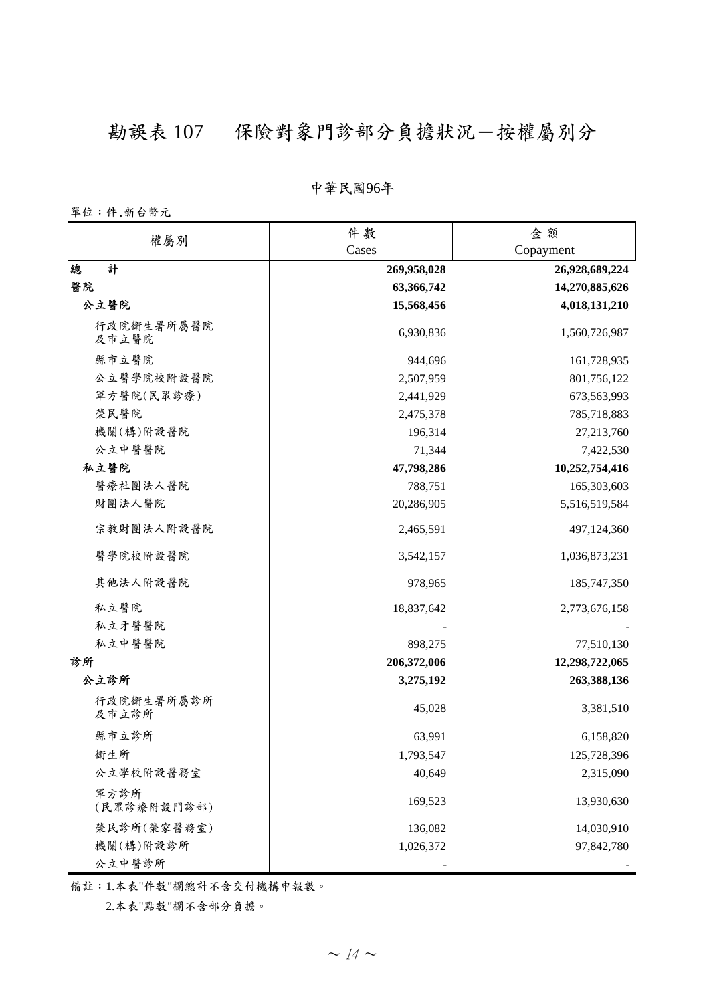## 勘誤表 107 保險對象門診部分負擔狀況一按權屬別分

#### **̚රϔ઼**96**ѐ**

單位:件,新台幣元

| 權屬別                 | 件數          | 金額             |
|---------------------|-------------|----------------|
|                     | Cases       | Copayment      |
| 計<br>總              | 269,958,028 | 26,928,689,224 |
| 醫院                  | 63,366,742  | 14,270,885,626 |
| 公立醫院                | 15,568,456  | 4,018,131,210  |
| 行政院衛生署所屬醫院<br>及市立醫院 | 6,930,836   | 1,560,726,987  |
| 縣市立醫院               | 944,696     | 161,728,935    |
| 公立醫學院校附設醫院          | 2,507,959   | 801,756,122    |
| 軍方醫院(民眾診療)          | 2,441,929   | 673,563,993    |
| 榮民醫院                | 2,475,378   | 785,718,883    |
| 機關(構)附設醫院           | 196,314     | 27,213,760     |
| 公立中醫醫院              | 71,344      | 7,422,530      |
| 私立醫院                | 47,798,286  | 10,252,754,416 |
| 醫療社團法人醫院            | 788,751     | 165,303,603    |
| 財團法人醫院              | 20,286,905  | 5,516,519,584  |
| 宗教財團法人附設醫院          | 2,465,591   | 497,124,360    |
| 醫學院校附設醫院            | 3,542,157   | 1,036,873,231  |
| 其他法人附設醫院            | 978,965     | 185,747,350    |
| 私立醫院                | 18,837,642  | 2,773,676,158  |
| 私立牙醫醫院              |             |                |
| 私立中醫醫院              | 898,275     | 77,510,130     |
| 診所                  | 206,372,006 | 12,298,722,065 |
| 公立診所                | 3,275,192   | 263,388,136    |
| 行政院衛生署所屬診所<br>及市立診所 | 45,028      | 3,381,510      |
| 縣市立診所               | 63,991      | 6,158,820      |
| 衛生所                 | 1,793,547   | 125,728,396    |
| 公立學校附設醫務室           | 40,649      | 2,315,090      |
| 軍方診所<br>(民眾診療附設門診部) | 169,523     | 13,930,630     |
| 榮民診所(榮家醫務室)         | 136,082     | 14,030,910     |
| 機關(構)附設診所<br>公立中醫診所 | 1,026,372   | 97,842,780     |

備註:1.本表"件數"欄總計不含交付機構申報數。

 $2.\overline{4}$  & "點數"欄不含部分負擔。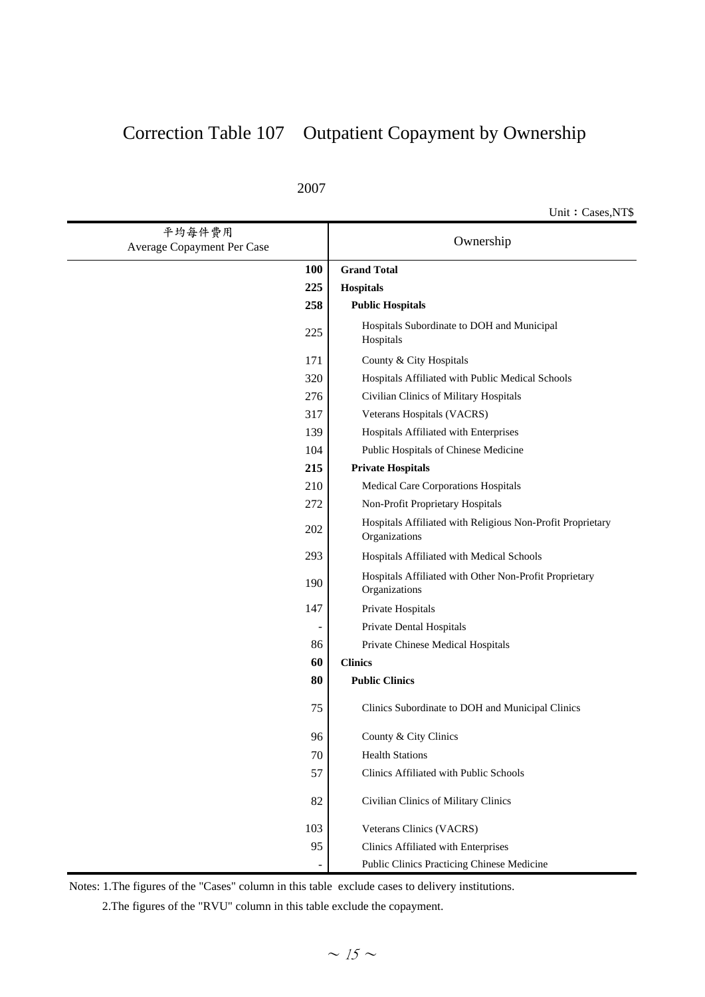### Correction Table 107 Outpatient Copayment by Ownership

Unit: Cases,NT\$

| 平均每件費用<br>Average Copayment Per Case | Ownership                                                                   |  |
|--------------------------------------|-----------------------------------------------------------------------------|--|
| <b>100</b>                           | <b>Grand Total</b>                                                          |  |
| 225                                  | Hospitals                                                                   |  |
| 258                                  | <b>Public Hospitals</b>                                                     |  |
| 225                                  | Hospitals Subordinate to DOH and Municipal<br>Hospitals                     |  |
| 171                                  | County & City Hospitals                                                     |  |
| 320                                  | Hospitals Affiliated with Public Medical Schools                            |  |
| 276                                  | Civilian Clinics of Military Hospitals                                      |  |
| 317                                  | Veterans Hospitals (VACRS)                                                  |  |
| 139                                  | Hospitals Affiliated with Enterprises                                       |  |
| 104                                  | Public Hospitals of Chinese Medicine                                        |  |
| 215                                  | <b>Private Hospitals</b>                                                    |  |
| 210                                  | Medical Care Corporations Hospitals                                         |  |
| 272                                  | Non-Profit Proprietary Hospitals                                            |  |
| 202                                  | Hospitals Affiliated with Religious Non-Profit Proprietary<br>Organizations |  |
| 293                                  | Hospitals Affiliated with Medical Schools                                   |  |
| 190                                  | Hospitals Affiliated with Other Non-Profit Proprietary<br>Organizations     |  |
| 147                                  | Private Hospitals                                                           |  |
|                                      | Private Dental Hospitals                                                    |  |
| 86                                   | Private Chinese Medical Hospitals                                           |  |
| 60                                   | <b>Clinics</b>                                                              |  |
| 80                                   | <b>Public Clinics</b>                                                       |  |
| 75                                   | Clinics Subordinate to DOH and Municipal Clinics                            |  |
| 96                                   | County & City Clinics                                                       |  |
| 70                                   | <b>Health Stations</b>                                                      |  |
| 57                                   | Clinics Affiliated with Public Schools                                      |  |
| 82                                   | Civilian Clinics of Military Clinics                                        |  |
| 103                                  | Veterans Clinics (VACRS)                                                    |  |
| 95                                   | Clinics Affiliated with Enterprises                                         |  |
|                                      | Public Clinics Practicing Chinese Medicine                                  |  |

Notes: 1.The figures of the "Cases" column in this table exclude cases to delivery institutions.

2.The figures of the "RVU" column in this table exclude the copayment.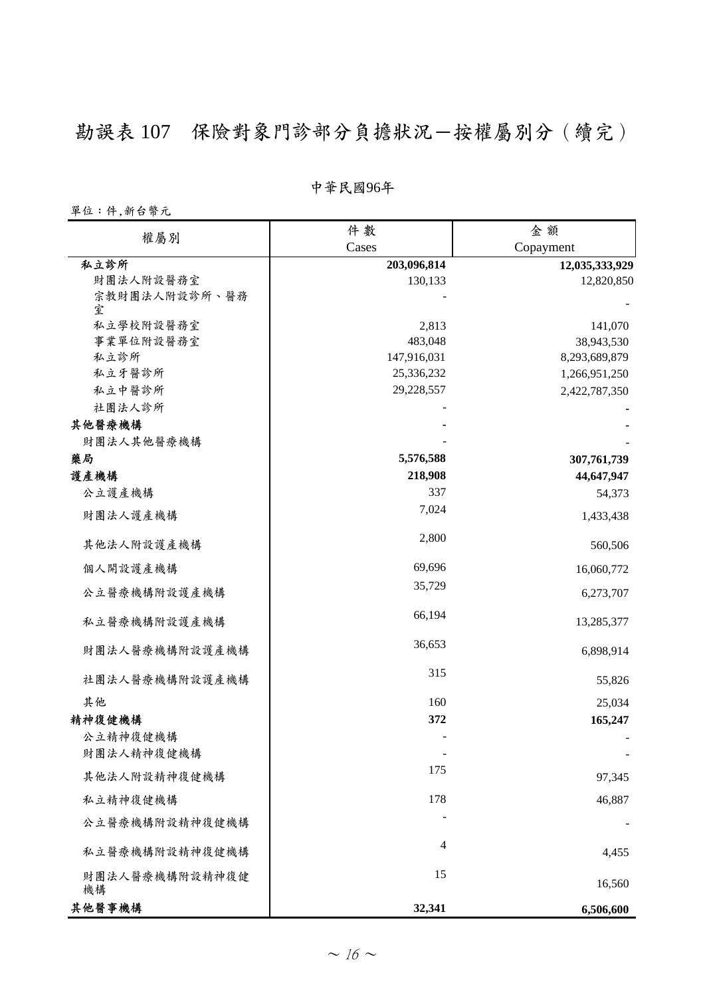## 勘誤表 107 保險對象門診部分負擔狀況一按權屬別分 (續完)

#### **̚රϔ઼**96**ѐ**

單位:件,新台幣元

| 權屬別                  | 件數             | 金額             |
|----------------------|----------------|----------------|
|                      | Cases          | Copayment      |
| 私立診所                 | 203,096,814    | 12,035,333,929 |
| 財團法人附設醫務室            | 130,133        | 12,820,850     |
| 宗教財團法人附設診所、醫務<br>室   |                |                |
| 私立學校附設醫務室            | 2,813          | 141,070        |
| 事業單位附設醫務室            | 483,048        | 38,943,530     |
| 私立診所                 | 147,916,031    | 8,293,689,879  |
| 私立牙醫診所               | 25,336,232     | 1,266,951,250  |
| 私立中醫診所               | 29,228,557     | 2,422,787,350  |
| 社團法人診所               |                |                |
| 其他醫療機構               |                |                |
| 財團法人其他醫療機構           |                |                |
| 藥局                   | 5,576,588      | 307,761,739    |
| 護產機構                 | 218,908        | 44,647,947     |
| 公立護產機構               | 337            | 54,373         |
| 財團法人護產機構             | 7,024          | 1,433,438      |
| 其他法人附設護產機構           | 2,800          | 560,506        |
| 個人開設護產機構             | 69,696         | 16,060,772     |
| 公立醫療機構附設護產機構         | 35,729         | 6,273,707      |
| 私立醫療機構附設護產機構         | 66,194         | 13,285,377     |
| 財團法人醫療機構附設護產機構       | 36,653         | 6,898,914      |
| 社團法人醫療機構附設護產機構       | 315            | 55,826         |
| 其他                   | 160            | 25,034         |
| 精神復健機構               | 372            | 165,247        |
| 公立精神復健機構             |                |                |
| 財團法人精神復健機構           |                |                |
| 其他法人附設精神復健機構         | 175            | 97,345         |
| 私立精神復健機構             | 178            | 46,887         |
| 公立醫療機構附設精神復健機構       |                |                |
| 私立醫療機構附設精神復健機構       | $\overline{4}$ | 4,455          |
| 財團法人醫療機構附設精神復健<br>機構 | 15             | 16,560         |
| 其他醫事機構               | 32,341         | 6,506,600      |